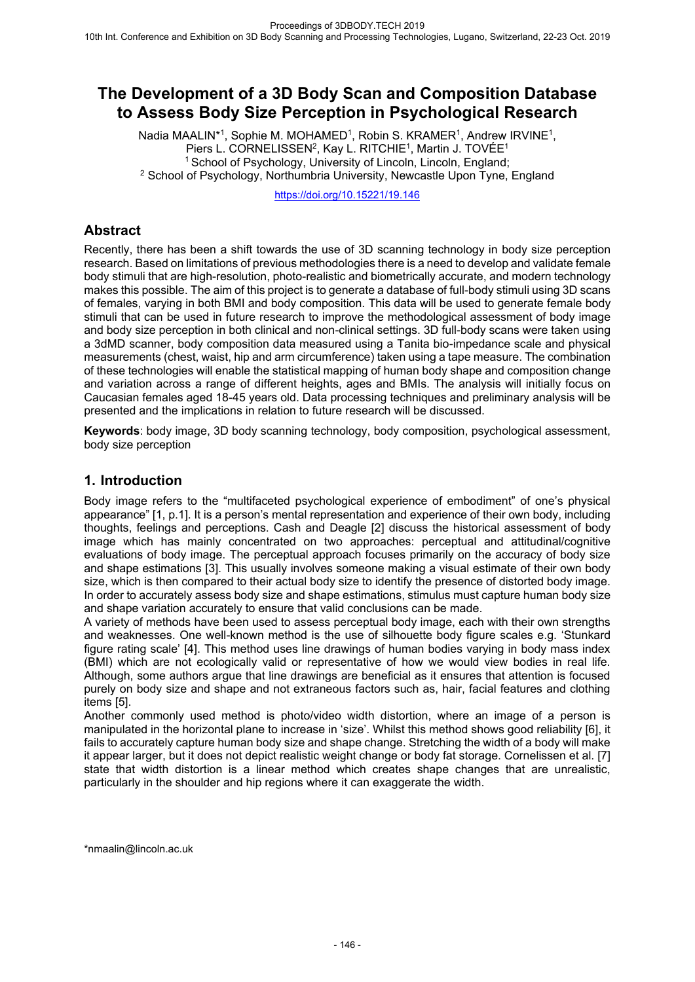# **The Development of a 3D Body Scan and Composition Database to Assess Body Size Perception in Psychological Research**

Nadia MAALIN<sup>\*1</sup>, Sophie M. MOHAMED<sup>1</sup>, Robin S. KRAMER<sup>1</sup>, Andrew IRVINE<sup>1</sup>, Piers L. CORNELISSEN<sup>2</sup>, Kay L. RITCHIE<sup>1</sup>, Martin J. TOVÉE<sup>1</sup> <sup>1</sup> School of Psychology, University of Lincoln, Lincoln, England; <sup>2</sup> School of Psychology, Northumbria University, Newcastle Upon Tyne, England

https://doi.org/10.15221/19.146

## **Abstract**

Recently, there has been a shift towards the use of 3D scanning technology in body size perception research. Based on limitations of previous methodologies there is a need to develop and validate female body stimuli that are high-resolution, photo-realistic and biometrically accurate, and modern technology makes this possible. The aim of this project is to generate a database of full-body stimuli using 3D scans of females, varying in both BMI and body composition. This data will be used to generate female body stimuli that can be used in future research to improve the methodological assessment of body image and body size perception in both clinical and non-clinical settings. 3D full-body scans were taken using a 3dMD scanner, body composition data measured using a Tanita bio-impedance scale and physical measurements (chest, waist, hip and arm circumference) taken using a tape measure. The combination of these technologies will enable the statistical mapping of human body shape and composition change and variation across a range of different heights, ages and BMIs. The analysis will initially focus on Caucasian females aged 18-45 years old. Data processing techniques and preliminary analysis will be presented and the implications in relation to future research will be discussed.

**Keywords**: body image, 3D body scanning technology, body composition, psychological assessment, body size perception

### **1. Introduction**

Body image refers to the "multifaceted psychological experience of embodiment" of one's physical appearance" [1, p.1]. It is a person's mental representation and experience of their own body, including thoughts, feelings and perceptions. Cash and Deagle [2] discuss the historical assessment of body image which has mainly concentrated on two approaches: perceptual and attitudinal/cognitive evaluations of body image. The perceptual approach focuses primarily on the accuracy of body size and shape estimations [3]. This usually involves someone making a visual estimate of their own body size, which is then compared to their actual body size to identify the presence of distorted body image. In order to accurately assess body size and shape estimations, stimulus must capture human body size and shape variation accurately to ensure that valid conclusions can be made.

A variety of methods have been used to assess perceptual body image, each with their own strengths and weaknesses. One well-known method is the use of silhouette body figure scales e.g. 'Stunkard figure rating scale' [4]. This method uses line drawings of human bodies varying in body mass index (BMI) which are not ecologically valid or representative of how we would view bodies in real life. Although, some authors argue that line drawings are beneficial as it ensures that attention is focused purely on body size and shape and not extraneous factors such as, hair, facial features and clothing items [5].

Another commonly used method is photo/video width distortion, where an image of a person is manipulated in the horizontal plane to increase in 'size'. Whilst this method shows good reliability [6], it fails to accurately capture human body size and shape change. Stretching the width of a body will make it appear larger, but it does not depict realistic weight change or body fat storage. Cornelissen et al. [7] state that width distortion is a linear method which creates shape changes that are unrealistic, particularly in the shoulder and hip regions where it can exaggerate the width.

\*nmaalin@lincoln.ac.uk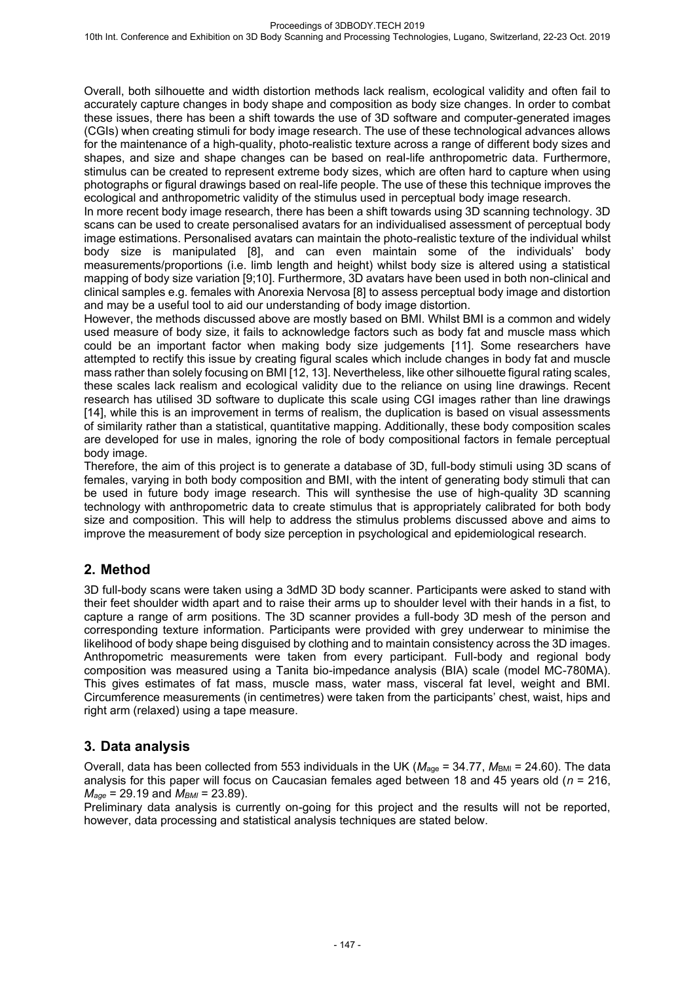Overall, both silhouette and width distortion methods lack realism, ecological validity and often fail to accurately capture changes in body shape and composition as body size changes. In order to combat these issues, there has been a shift towards the use of 3D software and computer-generated images (CGIs) when creating stimuli for body image research. The use of these technological advances allows for the maintenance of a high-quality, photo-realistic texture across a range of different body sizes and shapes, and size and shape changes can be based on real-life anthropometric data. Furthermore, stimulus can be created to represent extreme body sizes, which are often hard to capture when using photographs or figural drawings based on real-life people. The use of these this technique improves the ecological and anthropometric validity of the stimulus used in perceptual body image research.

In more recent body image research, there has been a shift towards using 3D scanning technology. 3D scans can be used to create personalised avatars for an individualised assessment of perceptual body image estimations. Personalised avatars can maintain the photo-realistic texture of the individual whilst body size is manipulated [8], and can even maintain some of the individuals' body measurements/proportions (i.e. limb length and height) whilst body size is altered using a statistical mapping of body size variation [9;10]. Furthermore, 3D avatars have been used in both non-clinical and clinical samples e.g. females with Anorexia Nervosa [8] to assess perceptual body image and distortion and may be a useful tool to aid our understanding of body image distortion.

However, the methods discussed above are mostly based on BMI. Whilst BMI is a common and widely used measure of body size, it fails to acknowledge factors such as body fat and muscle mass which could be an important factor when making body size judgements [11]. Some researchers have attempted to rectify this issue by creating figural scales which include changes in body fat and muscle mass rather than solely focusing on BMI [12, 13]. Nevertheless, like other silhouette figural rating scales, these scales lack realism and ecological validity due to the reliance on using line drawings. Recent research has utilised 3D software to duplicate this scale using CGI images rather than line drawings [14], while this is an improvement in terms of realism, the duplication is based on visual assessments of similarity rather than a statistical, quantitative mapping. Additionally, these body composition scales are developed for use in males, ignoring the role of body compositional factors in female perceptual body image.

Therefore, the aim of this project is to generate a database of 3D, full-body stimuli using 3D scans of females, varying in both body composition and BMI, with the intent of generating body stimuli that can be used in future body image research. This will synthesise the use of high-quality 3D scanning technology with anthropometric data to create stimulus that is appropriately calibrated for both body size and composition. This will help to address the stimulus problems discussed above and aims to improve the measurement of body size perception in psychological and epidemiological research.

## **2. Method**

3D full-body scans were taken using a 3dMD 3D body scanner. Participants were asked to stand with their feet shoulder width apart and to raise their arms up to shoulder level with their hands in a fist, to capture a range of arm positions. The 3D scanner provides a full-body 3D mesh of the person and corresponding texture information. Participants were provided with grey underwear to minimise the likelihood of body shape being disguised by clothing and to maintain consistency across the 3D images. Anthropometric measurements were taken from every participant. Full-body and regional body composition was measured using a Tanita bio-impedance analysis (BIA) scale (model MC-780MA). This gives estimates of fat mass, muscle mass, water mass, visceral fat level, weight and BMI. Circumference measurements (in centimetres) were taken from the participants' chest, waist, hips and right arm (relaxed) using a tape measure.

# **3. Data analysis**

Overall, data has been collected from 553 individuals in the UK ( $M_{\text{age}}$  = 34.77,  $M_{\text{BMI}}$  = 24.60). The data analysis for this paper will focus on Caucasian females aged between 18 and 45 years old (*n* = 216, *Mage* = 29.19 and *MBMI* = 23.89).

Preliminary data analysis is currently on-going for this project and the results will not be reported, however, data processing and statistical analysis techniques are stated below.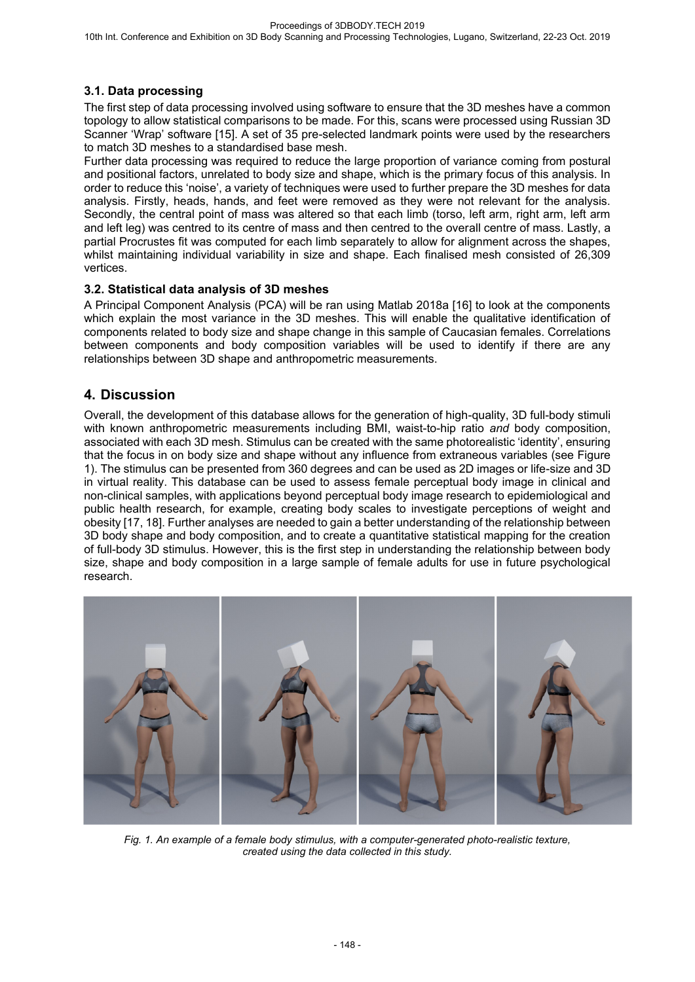### **3.1. Data processing**

The first step of data processing involved using software to ensure that the 3D meshes have a common topology to allow statistical comparisons to be made. For this, scans were processed using Russian 3D Scanner 'Wrap' software [15]. A set of 35 pre-selected landmark points were used by the researchers to match 3D meshes to a standardised base mesh.

Further data processing was required to reduce the large proportion of variance coming from postural and positional factors, unrelated to body size and shape, which is the primary focus of this analysis. In order to reduce this 'noise', a variety of techniques were used to further prepare the 3D meshes for data analysis. Firstly, heads, hands, and feet were removed as they were not relevant for the analysis. Secondly, the central point of mass was altered so that each limb (torso, left arm, right arm, left arm and left leg) was centred to its centre of mass and then centred to the overall centre of mass. Lastly, a partial Procrustes fit was computed for each limb separately to allow for alignment across the shapes, whilst maintaining individual variability in size and shape. Each finalised mesh consisted of 26,309 vertices.

#### **3.2. Statistical data analysis of 3D meshes**

A Principal Component Analysis (PCA) will be ran using Matlab 2018a [16] to look at the components which explain the most variance in the 3D meshes. This will enable the qualitative identification of components related to body size and shape change in this sample of Caucasian females. Correlations between components and body composition variables will be used to identify if there are any relationships between 3D shape and anthropometric measurements.

## **4. Discussion**

Overall, the development of this database allows for the generation of high-quality, 3D full-body stimuli with known anthropometric measurements including BMI, waist-to-hip ratio *and* body composition, associated with each 3D mesh. Stimulus can be created with the same photorealistic 'identity', ensuring that the focus in on body size and shape without any influence from extraneous variables (see Figure 1). The stimulus can be presented from 360 degrees and can be used as 2D images or life-size and 3D in virtual reality. This database can be used to assess female perceptual body image in clinical and non-clinical samples, with applications beyond perceptual body image research to epidemiological and public health research, for example, creating body scales to investigate perceptions of weight and obesity [17, 18]. Further analyses are needed to gain a better understanding of the relationship between 3D body shape and body composition, and to create a quantitative statistical mapping for the creation of full-body 3D stimulus. However, this is the first step in understanding the relationship between body size, shape and body composition in a large sample of female adults for use in future psychological research.



*Fig. 1. An example of a female body stimulus, with a computer-generated photo-realistic texture, created using the data collected in this study.*